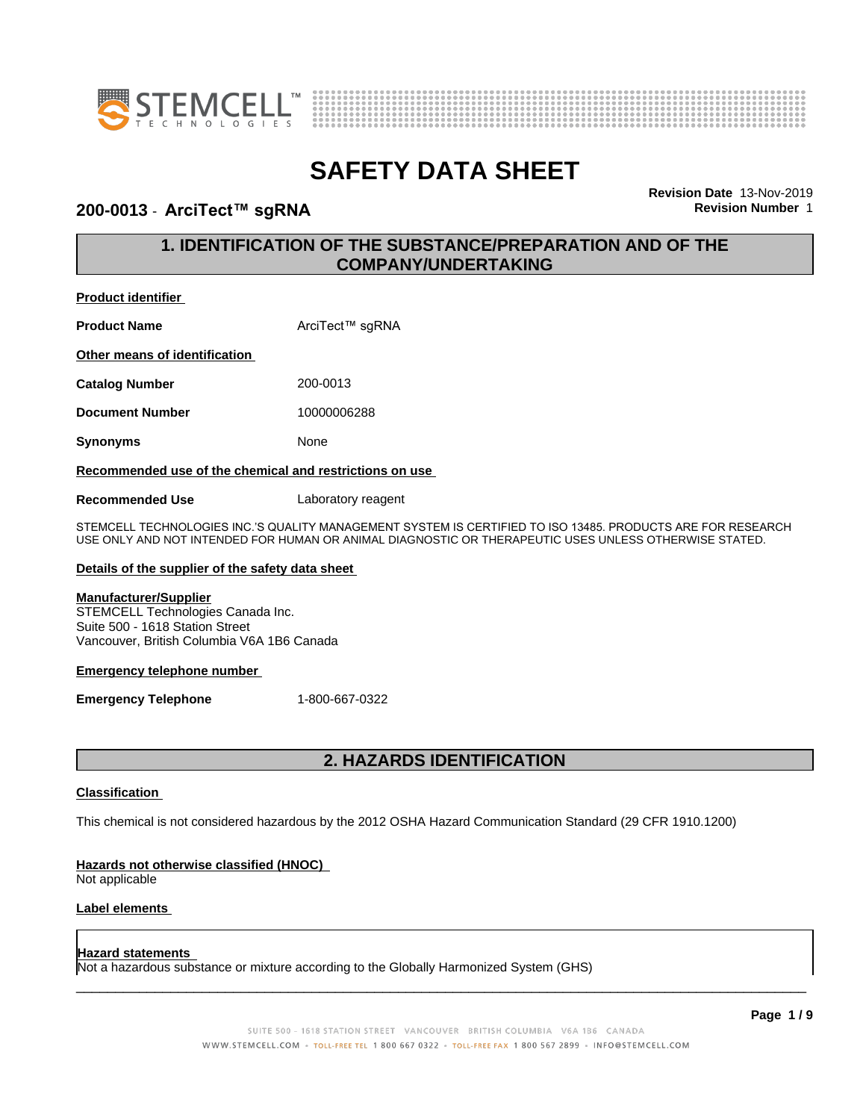



### **200-0013** - **ArciTect™ sgRNA Revision Number** 1

**Revision Date** 13-Nov-2019

## **1. IDENTIFICATION OF THE SUBSTANCE/PREPARATION AND OF THE COMPANY/UNDERTAKING**

### **Product identifier**

| <b>Product Name</b>           | ArciTect™ sgRNA |
|-------------------------------|-----------------|
| Other means of identification |                 |
| <b>Catalog Number</b>         | 200-0013        |
| <b>Document Number</b>        | 10000006288     |
|                               |                 |

**Synonyms** None

### **Recommended use of the chemical and restrictions on use**

**Recommended Use** Laboratory reagent

STEMCELL TECHNOLOGIES INC.'S QUALITY MANAGEMENT SYSTEM IS CERTIFIED TO ISO 13485. PRODUCTS ARE FOR RESEARCH USE ONLY AND NOT INTENDED FOR HUMAN OR ANIMAL DIAGNOSTIC OR THERAPEUTIC USES UNLESS OTHERWISE STATED.

### **Details of the supplier of the safety data sheet**

### **Manufacturer/Supplier**

STEMCELL Technologies Canada Inc. Suite 500 - 1618 Station Street Vancouver, British Columbia V6A 1B6 Canada

### **Emergency telephone number**

**Emergency Telephone** 1-800-667-0322

## **2. HAZARDS IDENTIFICATION**

### **Classification**

This chemical is not considered hazardous by the 2012 OSHA Hazard Communication Standard (29 CFR 1910.1200)

### **Hazards not otherwise classified (HNOC)**

Not applicable

### **Label elements**

#### **Hazard statements**

Not a hazardous substance or mixture according to the Globally Harmonized System (GHS)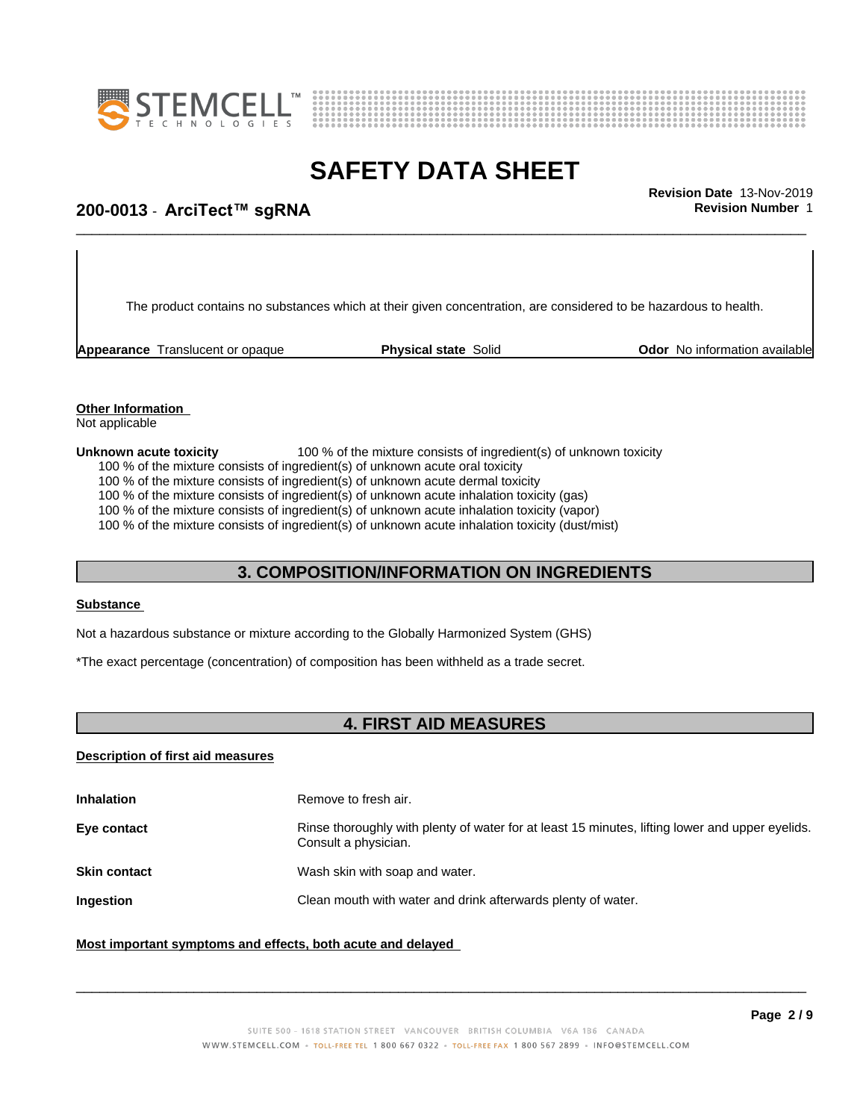



# \_\_\_\_\_\_\_\_\_\_\_\_\_\_\_\_\_\_\_\_\_\_\_\_\_\_\_\_\_\_\_\_\_\_\_\_\_\_\_\_\_\_\_\_\_\_\_\_\_\_\_\_\_\_\_\_\_\_\_\_\_\_\_\_\_\_\_\_\_\_\_\_\_\_\_\_\_\_\_\_\_\_\_\_\_\_\_\_\_\_\_\_\_ **Revision Date** 13-Nov-2019 **200-0013** - **ArciTect™ sgRNA Revision Number** 1

The product contains no substances which at their given concentration, are considered to be hazardous to health.

**Appearance** Translucent or opaque **Physical state** Solid **Odor No information available** 

#### **Other Information** Not applicable

#### **Unknown acute toxicity** 100 % of the mixture consists of ingredient(s) of unknown toxicity

100 % of the mixture consists of ingredient(s) of unknown acute oral toxicity

100 % of the mixture consists of ingredient(s) of unknown acute dermal toxicity

100 % of the mixture consists of ingredient(s) of unknown acute inhalation toxicity (gas)

100 % of the mixture consists of ingredient(s) of unknown acute inhalation toxicity (vapor)

100 % of the mixture consists of ingredient(s) of unknown acute inhalation toxicity (dust/mist)

### **3. COMPOSITION/INFORMATION ON INGREDIENTS**

#### **Substance**

Not a hazardous substance or mixture according to the Globally Harmonized System (GHS)

\*The exact percentage (concentration) of composition has been withheld as a trade secret.

# **4. FIRST AID MEASURES**

### **Description of first aid measures**

| <b>Inhalation</b>   | Remove to fresh air.                                                                                                    |
|---------------------|-------------------------------------------------------------------------------------------------------------------------|
| Eye contact         | Rinse thoroughly with plenty of water for at least 15 minutes, lifting lower and upper eyelids.<br>Consult a physician. |
| <b>Skin contact</b> | Wash skin with soap and water.                                                                                          |
| <b>Ingestion</b>    | Clean mouth with water and drink afterwards plenty of water.                                                            |
|                     |                                                                                                                         |

### **Most important symptoms and effects, both acute and delayed**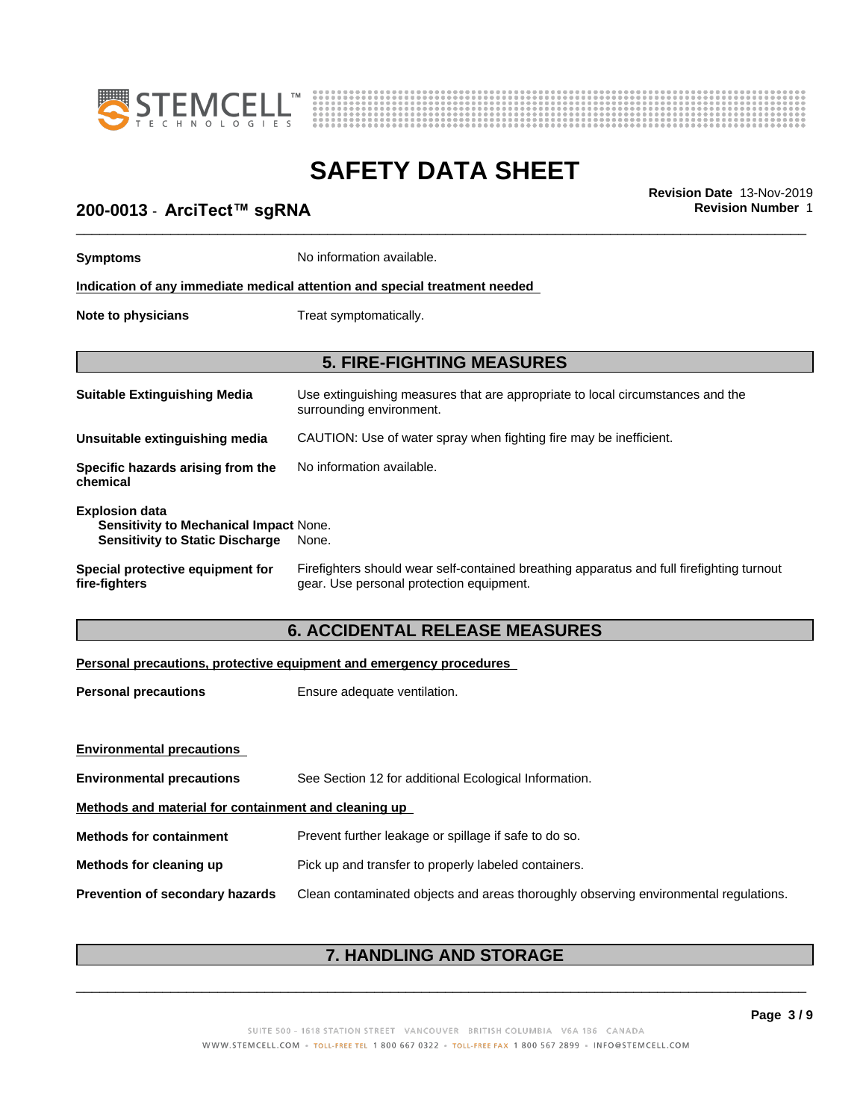



# **200-0013** - **ArciTect™ sgRNA Revision Number** 1

| 200-0013 - ArciTect™ sgRNA                                                                                | Revision Date 13-Nov-2019<br><b>Revision Number 1</b>                                                                                 |
|-----------------------------------------------------------------------------------------------------------|---------------------------------------------------------------------------------------------------------------------------------------|
| <b>Symptoms</b>                                                                                           | No information available.                                                                                                             |
|                                                                                                           | Indication of any immediate medical attention and special treatment needed                                                            |
| Note to physicians                                                                                        | Treat symptomatically.                                                                                                                |
|                                                                                                           | <b>5. FIRE-FIGHTING MEASURES</b>                                                                                                      |
| <b>Suitable Extinguishing Media</b>                                                                       | Use extinguishing measures that are appropriate to local circumstances and the<br>surrounding environment.                            |
| Unsuitable extinguishing media                                                                            | CAUTION: Use of water spray when fighting fire may be inefficient.                                                                    |
| Specific hazards arising from the<br>chemical                                                             | No information available.                                                                                                             |
| <b>Explosion data</b><br>Sensitivity to Mechanical Impact None.<br><b>Sensitivity to Static Discharge</b> | None.                                                                                                                                 |
| Special protective equipment for<br>fire-fighters                                                         | Firefighters should wear self-contained breathing apparatus and full firefighting turnout<br>gear. Use personal protection equipment. |
|                                                                                                           | <b>6. ACCIDENTAL RELEASE MEASURES</b>                                                                                                 |
|                                                                                                           | Personal precautions, protective equipment and emergency procedures                                                                   |
| <b>Personal precautions</b>                                                                               | Ensure adequate ventilation.                                                                                                          |
| <b>Environmental precautions</b>                                                                          |                                                                                                                                       |
| <b>Environmental precautions</b>                                                                          | See Section 12 for additional Ecological Information.                                                                                 |
|                                                                                                           |                                                                                                                                       |

**Methods and material for containment and cleaning up**

**Methods for containment** Prevent further leakage or spillage if safe to do so.

**Methods for cleaning up** Pick up and transfer to properly labeled containers.

**Prevention of secondary hazards** Clean contaminated objects and areas thoroughly observing environmental regulations.

# **7. HANDLING AND STORAGE**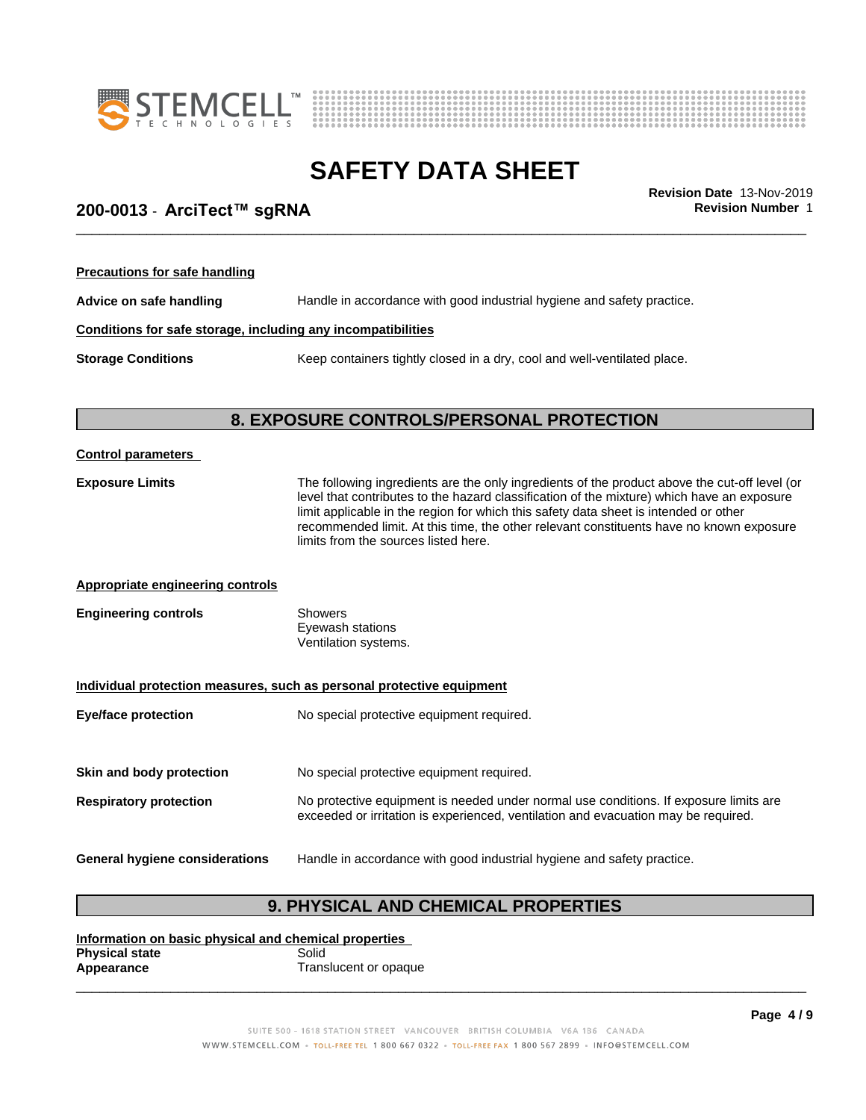



# **SAFETY DATA SHEET**<br>Revision Date 13-Nov-2019

# \_\_\_\_\_\_\_\_\_\_\_\_\_\_\_\_\_\_\_\_\_\_\_\_\_\_\_\_\_\_\_\_\_\_\_\_\_\_\_\_\_\_\_\_\_\_\_\_\_\_\_\_\_\_\_\_\_\_\_\_\_\_\_\_\_\_\_\_\_\_\_\_\_\_\_\_\_\_\_\_\_\_\_\_\_\_\_\_\_\_\_\_\_ **Revision Date** 13-Nov-2019 **200-0013** - **ArciTect™ sgRNA Revision Number** 1

| <b>Precautions for safe handling</b>                         |                                                                          |  |
|--------------------------------------------------------------|--------------------------------------------------------------------------|--|
| Advice on safe handling                                      | Handle in accordance with good industrial hygiene and safety practice.   |  |
| Conditions for safe storage, including any incompatibilities |                                                                          |  |
| <b>Storage Conditions</b>                                    | Keep containers tightly closed in a dry, cool and well-ventilated place. |  |

# **8. EXPOSURE CONTROLS/PERSONAL PROTECTION**

| <b>Control parameters</b>                                             |                                                                                                                                                                                                                                                                                                                                                                                                                        |  |  |
|-----------------------------------------------------------------------|------------------------------------------------------------------------------------------------------------------------------------------------------------------------------------------------------------------------------------------------------------------------------------------------------------------------------------------------------------------------------------------------------------------------|--|--|
| <b>Exposure Limits</b>                                                | The following ingredients are the only ingredients of the product above the cut-off level (or<br>level that contributes to the hazard classification of the mixture) which have an exposure<br>limit applicable in the region for which this safety data sheet is intended or other<br>recommended limit. At this time, the other relevant constituents have no known exposure<br>limits from the sources listed here. |  |  |
| <b>Appropriate engineering controls</b>                               |                                                                                                                                                                                                                                                                                                                                                                                                                        |  |  |
| <b>Engineering controls</b>                                           | <b>Showers</b><br>Eyewash stations<br>Ventilation systems.                                                                                                                                                                                                                                                                                                                                                             |  |  |
| Individual protection measures, such as personal protective equipment |                                                                                                                                                                                                                                                                                                                                                                                                                        |  |  |
| <b>Eye/face protection</b>                                            | No special protective equipment required.                                                                                                                                                                                                                                                                                                                                                                              |  |  |
| Skin and body protection                                              | No special protective equipment required.                                                                                                                                                                                                                                                                                                                                                                              |  |  |
| <b>Respiratory protection</b>                                         | No protective equipment is needed under normal use conditions. If exposure limits are<br>exceeded or irritation is experienced, ventilation and evacuation may be required.                                                                                                                                                                                                                                            |  |  |
| <b>General hygiene considerations</b>                                 | Handle in accordance with good industrial hygiene and safety practice.                                                                                                                                                                                                                                                                                                                                                 |  |  |

# **9. PHYSICAL AND CHEMICAL PROPERTIES**

**Information on basic physical and chemical properties Physical state**<br>Appearance **Translucent or opaque**  $\overline{\phantom{a}}$  ,  $\overline{\phantom{a}}$  ,  $\overline{\phantom{a}}$  ,  $\overline{\phantom{a}}$  ,  $\overline{\phantom{a}}$  ,  $\overline{\phantom{a}}$  ,  $\overline{\phantom{a}}$  ,  $\overline{\phantom{a}}$  ,  $\overline{\phantom{a}}$  ,  $\overline{\phantom{a}}$  ,  $\overline{\phantom{a}}$  ,  $\overline{\phantom{a}}$  ,  $\overline{\phantom{a}}$  ,  $\overline{\phantom{a}}$  ,  $\overline{\phantom{a}}$  ,  $\overline{\phantom{a}}$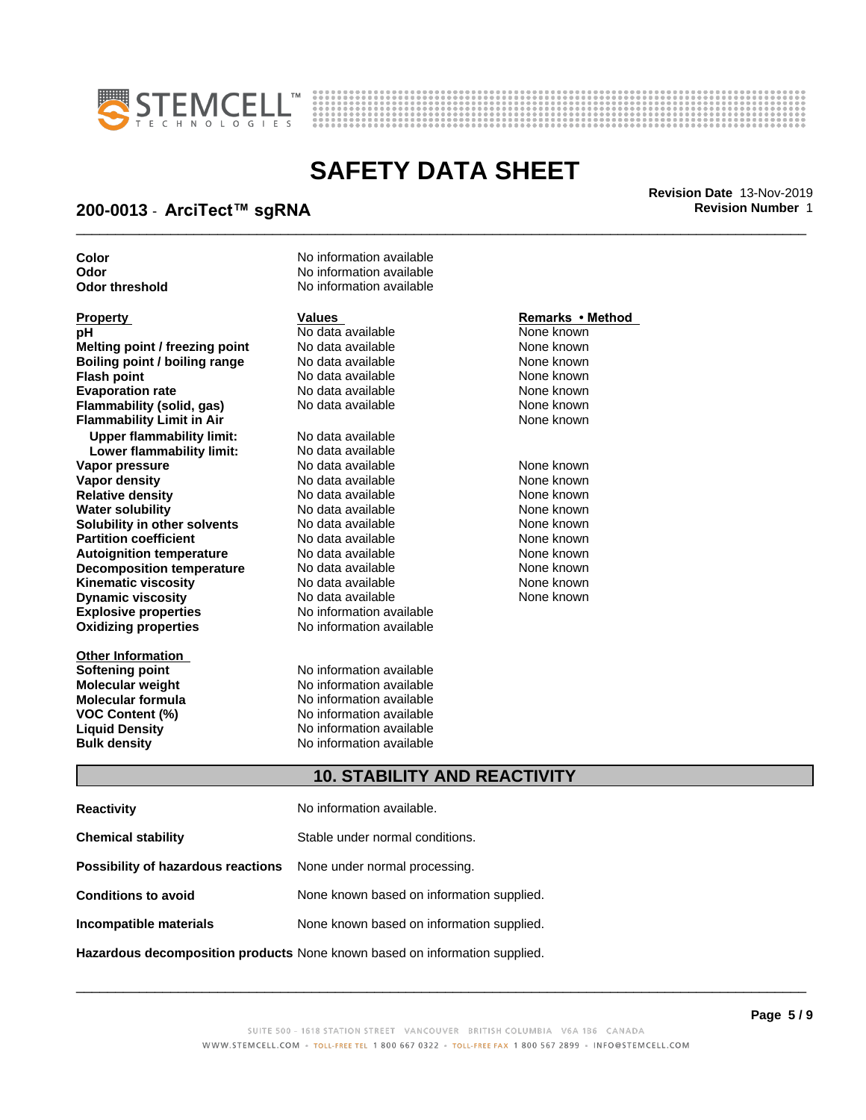



\_\_\_\_\_\_\_\_\_\_\_\_\_\_\_\_\_\_\_\_\_\_\_\_\_\_\_\_\_\_\_\_\_\_\_\_\_\_\_\_\_\_\_\_\_\_\_\_\_\_\_\_\_\_\_\_\_\_\_\_\_\_\_\_\_\_\_\_\_\_\_\_\_\_\_\_\_\_\_\_\_\_\_\_\_\_\_\_\_\_\_\_\_ **Revision Date** 13-Nov-2019

## **200-0013** - **ArciTect™ sgRNA Revision Number** 1

**Color** No information available **Odor** No information available **Odor threshold** No information available **Property Remarks •Method Values Remarks** •Method **pH** No data available Nown<br> **Melting point / freezing point** No data available Nown None known **Melting point / freezing point** No data available None known **Boiling point / boiling range No data available None known Flash point** No data available None known **Evaporation rate Reserve State State Additional None Convention Cone Control of the None known**<br> **Flammability (solid. gas)** No data available **None Known Flammability (solid, gas)** No data available None known<br> **Flammability Limit in Air** None Known **Flammability Limit in Air Upper flammability limit:** No data available **Lower flammability limit:** No data available **Vapor pressure No data available and the None known**<br> **Vapor density No data available None known**<br>
No data available **None known Vapor density** No data available **Relative density No data available None known**<br> **Water solubility No data available None known**<br>
No data available **Water solubility <br>
<b>Water solubility n** other **solvents** Modata available **None known**<br>
None known

**Explosive properties** No information available **Oxidizing properties** No information available **Solubility in other solvents** No data available<br> **Partition coefficient** No data available **Partition coefficient**<br> **Autoignition temperature** No data available None known<br>
None known **Autoignition temperature No data available None known**<br> **Decomposition temperature** No data available **None known**<br>
None known **Decomposition temperature** No data available **None known**<br> **Kinematic viscosity** No data available **None known**<br>
None known **Kinematic viscosity**<br> **Contains the Cone of Allian Cone is a vailable** Mone known<br>
No data available None known<br>
None known **Dynamic viscosity** 

**Other Information Molecular formula**<br>**VOC Content (%)** 

**Softening point No information available**<br> **Molecular weight No information available Molecular weight Molecular in the Solution Available Molecular formula Molecular formula Molecular Solution No** information available **VOC Content (%)** No information available **Liquid Density** No information available **Bulk density** No information available

None known

### **10. STABILITY AND REACTIVITY**

| <b>Reactivity</b>                                                       | No information available.                 |
|-------------------------------------------------------------------------|-------------------------------------------|
| <b>Chemical stability</b>                                               | Stable under normal conditions.           |
| <b>Possibility of hazardous reactions</b> None under normal processing. |                                           |
| <b>Conditions to avoid</b>                                              | None known based on information supplied. |
| Incompatible materials                                                  | None known based on information supplied. |
|                                                                         |                                           |

**Hazardous decomposition products** None known based on information supplied.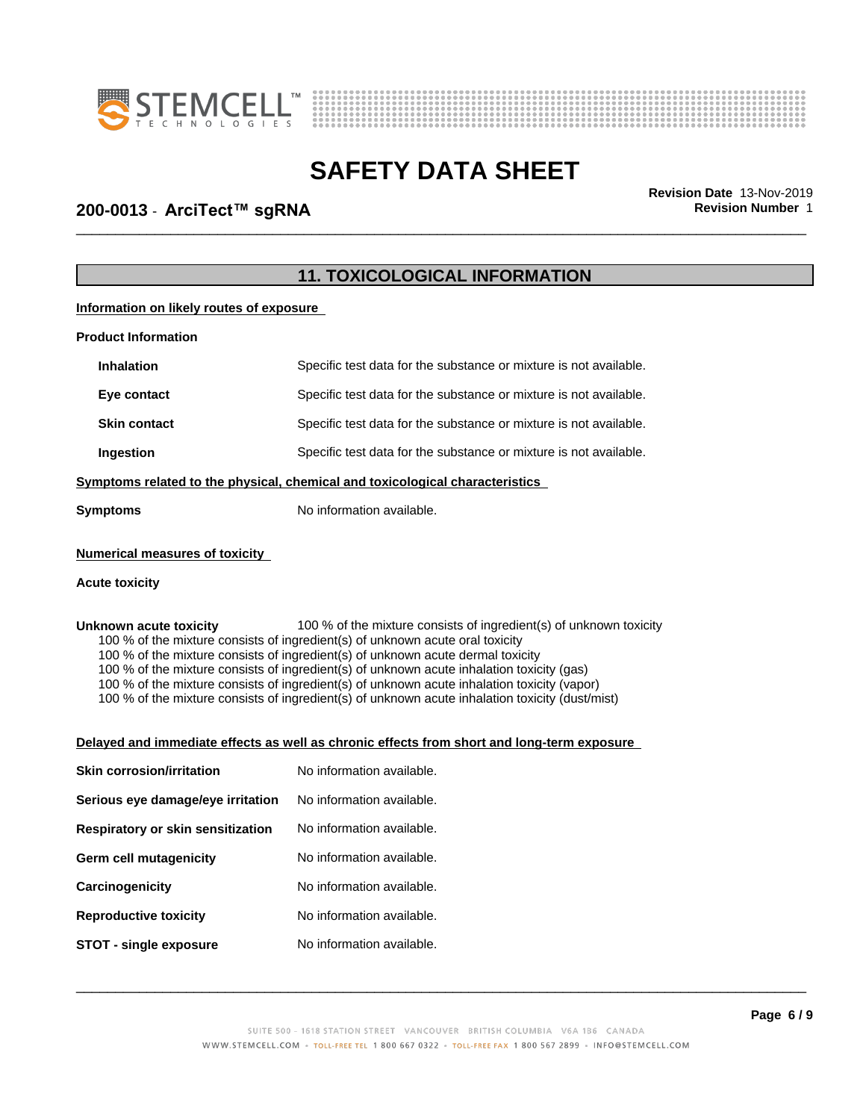



# \_\_\_\_\_\_\_\_\_\_\_\_\_\_\_\_\_\_\_\_\_\_\_\_\_\_\_\_\_\_\_\_\_\_\_\_\_\_\_\_\_\_\_\_\_\_\_\_\_\_\_\_\_\_\_\_\_\_\_\_\_\_\_\_\_\_\_\_\_\_\_\_\_\_\_\_\_\_\_\_\_\_\_\_\_\_\_\_\_\_\_\_\_ **Revision Date** 13-Nov-2019 **200-0013** - **ArciTect™ sgRNA Revision Number** 1

# **11. TOXICOLOGICAL INFORMATION**

**Information on likely routes of exposure**

| <b>Product Information</b>                                                   |                                                                   |  |
|------------------------------------------------------------------------------|-------------------------------------------------------------------|--|
| <b>Inhalation</b>                                                            | Specific test data for the substance or mixture is not available. |  |
| Eye contact                                                                  | Specific test data for the substance or mixture is not available. |  |
| <b>Skin contact</b>                                                          | Specific test data for the substance or mixture is not available. |  |
| Ingestion                                                                    | Specific test data for the substance or mixture is not available. |  |
| Symptoms related to the physical, chemical and toxicological characteristics |                                                                   |  |
| Symptoms                                                                     | No information available.                                         |  |

### **Numerical measures of toxicity**

### **Acute toxicity**

**Unknown acute toxicity** 100 % of the mixture consists of ingredient(s) of unknown toxicity

100 % of the mixture consists of ingredient(s) of unknown acute oral toxicity

100 % of the mixture consists of ingredient(s) of unknown acute dermal toxicity

100 % of the mixture consists of ingredient(s) of unknown acute inhalation toxicity (gas)

100 % of the mixture consists of ingredient(s) of unknown acute inhalation toxicity (vapor)

100 % of the mixture consists of ingredient(s) of unknown acute inhalation toxicity (dust/mist)

#### **Delayed and immediate effects as well as chronic effects from short and long-term exposure**

| <b>Skin corrosion/irritation</b>  | No information available. |
|-----------------------------------|---------------------------|
| Serious eye damage/eye irritation | No information available. |
| Respiratory or skin sensitization | No information available. |
| Germ cell mutagenicity            | No information available. |
| Carcinogenicity                   | No information available. |
| <b>Reproductive toxicity</b>      | No information available. |
| STOT - single exposure            | No information available. |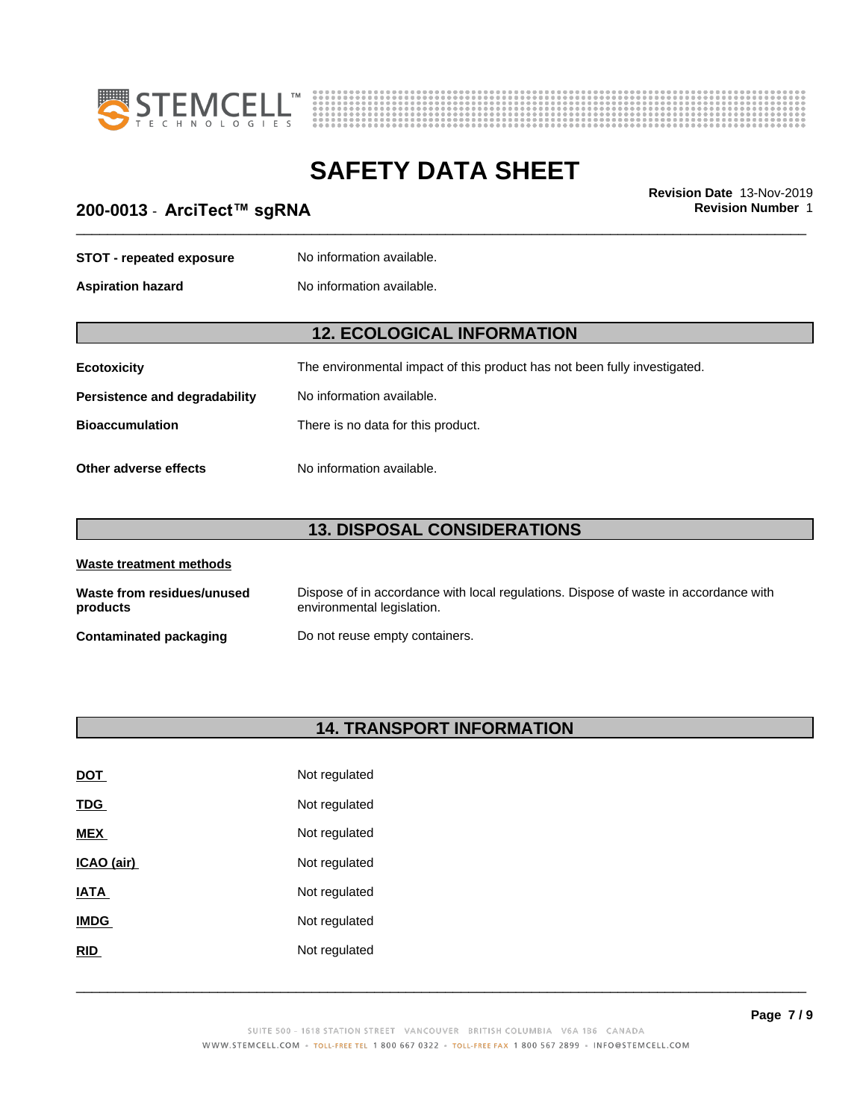



# \_\_\_\_\_\_\_\_\_\_\_\_\_\_\_\_\_\_\_\_\_\_\_\_\_\_\_\_\_\_\_\_\_\_\_\_\_\_\_\_\_\_\_\_\_\_\_\_\_\_\_\_\_\_\_\_\_\_\_\_\_\_\_\_\_\_\_\_\_\_\_\_\_\_\_\_\_\_\_\_\_\_\_\_\_\_\_\_\_\_\_\_\_ **Revision Date** 13-Nov-2019 **200-0013** - **ArciTect™ sgRNA Revision Number** 1

| <b>STOT - repeated exposure</b>      | No information available.                                                 |  |
|--------------------------------------|---------------------------------------------------------------------------|--|
| <b>Aspiration hazard</b>             | No information available.                                                 |  |
|                                      | <b>12. ECOLOGICAL INFORMATION</b>                                         |  |
|                                      |                                                                           |  |
| <b>Ecotoxicity</b>                   | The environmental impact of this product has not been fully investigated. |  |
| <b>Persistence and degradability</b> | No information available.                                                 |  |
| <b>Bioaccumulation</b>               | There is no data for this product.                                        |  |
| Other adverse effects                | No information available.                                                 |  |

# **13. DISPOSAL CONSIDERATIONS**

| Waste treatment methods                |                                                                                                                    |
|----------------------------------------|--------------------------------------------------------------------------------------------------------------------|
| Waste from residues/unused<br>products | Dispose of in accordance with local regulations. Dispose of waste in accordance with<br>environmental legislation. |
| Contaminated packaging                 | Do not reuse empty containers.                                                                                     |

# **14. TRANSPORT INFORMATION**

| <u>DOT</u>  | Not regulated |
|-------------|---------------|
| <b>TDG</b>  | Not regulated |
| <b>MEX</b>  | Not regulated |
| ICAO (air)  | Not regulated |
| <b>IATA</b> | Not regulated |
| <b>IMDG</b> | Not regulated |
| <b>RID</b>  | Not regulated |
|             |               |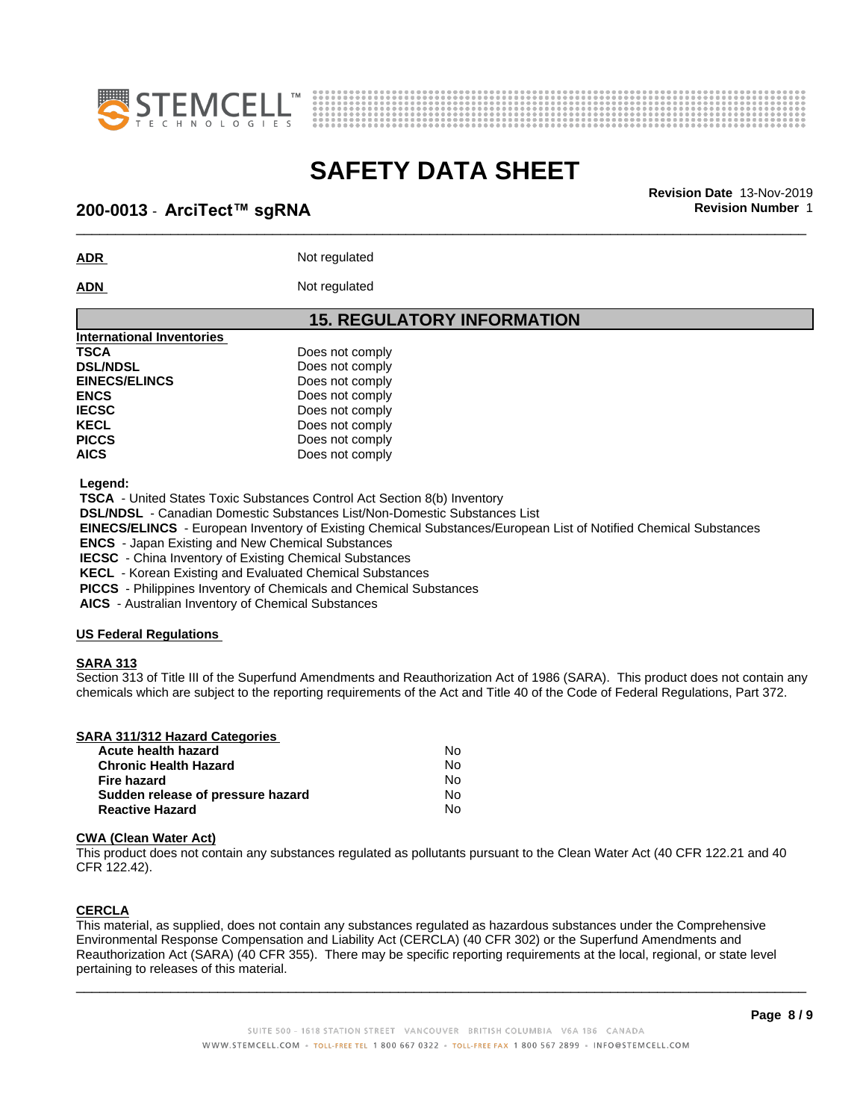



# \_\_\_\_\_\_\_\_\_\_\_\_\_\_\_\_\_\_\_\_\_\_\_\_\_\_\_\_\_\_\_\_\_\_\_\_\_\_\_\_\_\_\_\_\_\_\_\_\_\_\_\_\_\_\_\_\_\_\_\_\_\_\_\_\_\_\_\_\_\_\_\_\_\_\_\_\_\_\_\_\_\_\_\_\_\_\_\_\_\_\_\_\_ **Revision Date** 13-Nov-2019 **200-0013** - **ArciTect™ sgRNA Revision Number** 1

**ADR** Not regulated

ADN Not regulated

### **15. REGULATORY INFORMATION**

| International Inventories |                 |  |
|---------------------------|-----------------|--|
| <b>TSCA</b>               | Does not comply |  |
| <b>DSL/NDSL</b>           | Does not comply |  |
| <b>EINECS/ELINCS</b>      | Does not comply |  |
| <b>ENCS</b>               | Does not comply |  |
| <b>IECSC</b>              | Does not comply |  |
| <b>KECL</b>               | Does not comply |  |
| <b>PICCS</b>              | Does not comply |  |
| <b>AICS</b>               | Does not comply |  |
|                           |                 |  |

 **Legend:**

 **TSCA** - United States Toxic Substances Control Act Section 8(b) Inventory

 **DSL/NDSL** - Canadian Domestic Substances List/Non-Domestic Substances List

 **EINECS/ELINCS** - European Inventory of Existing Chemical Substances/European List of Notified Chemical Substances

 **ENCS** - Japan Existing and New Chemical Substances

 **IECSC** - China Inventory of Existing Chemical Substances

 **KECL** - Korean Existing and Evaluated Chemical Substances

 **PICCS** - Philippines Inventory of Chemicals and Chemical Substances

 **AICS** - Australian Inventory of Chemical Substances

### **US Federal Regulations**

### **SARA 313**

Section 313 of Title III of the Superfund Amendments and Reauthorization Act of 1986 (SARA). This product does not contain any chemicals which are subject to the reporting requirements of the Act and Title 40 of the Code of Federal Regulations, Part 372.

| Acute health hazard               | No. |
|-----------------------------------|-----|
| <b>Chronic Health Hazard</b>      | No. |
| Fire hazard                       | N٥  |
| Sudden release of pressure hazard | No. |
| <b>Reactive Hazard</b>            | N٥  |

### **CWA** (Clean Water Act)

This product does not contain any substances regulated as pollutants pursuant to the Clean Water Act (40 CFR 122.21 and 40 CFR 122.42).

### **CERCLA**

This material, as supplied, does not contain any substances regulated as hazardous substances under the Comprehensive Environmental Response Compensation and Liability Act (CERCLA) (40 CFR 302) or the Superfund Amendments and Reauthorization Act (SARA) (40 CFR 355). There may be specific reporting requirements at the local, regional, or state level pertaining to releases of this material.